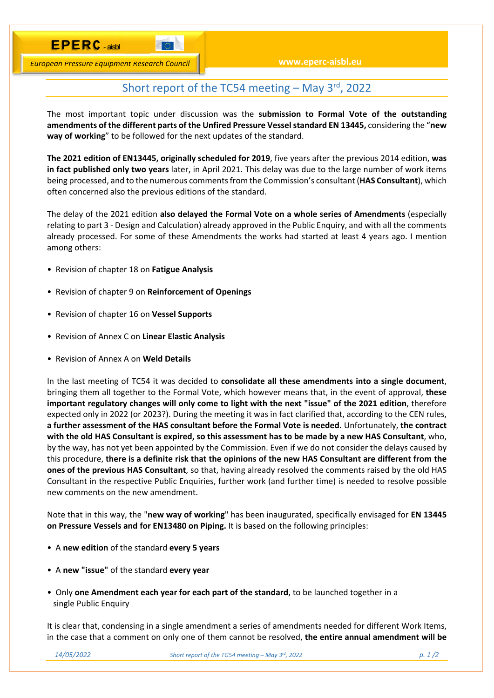*European Pressure Equipment Research Council*

**DESCRIPTION** 

## Short report of the TC54 meeting  $-$  May 3<sup>rd</sup>, 2022

The most important topic under discussion was the **submission to Formal Vote of the outstanding amendments of the different parts of the Unfired Pressure Vessel standard EN 13445,** considering the "**new way of working**" to be followed for the next updates of the standard.

**The 2021 edition of EN13445, originally scheduled for 2019**, five years after the previous 2014 edition, **was in fact published only two years** later, in April 2021. This delay was due to the large number of work items being processed, and to the numerous comments from the Commission's consultant (**HAS Consultant**), which often concerned also the previous editions of the standard.

The delay of the 2021 edition **also delayed the Formal Vote on a whole series of Amendments** (especially relating to part 3 ‐ Design and Calculation) already approved in the Public Enquiry, and with all the comments already processed. For some of these Amendments the works had started at least 4 years ago. I mention among others:

- Revision of chapter 18 on **Fatigue Analysis**
- Revision of chapter 9 on **Reinforcement of Openings**
- Revision of chapter 16 on **Vessel Supports**
- Revision of Annex C on **Linear Elastic Analysis**
- Revision of Annex A on **Weld Details**

In the last meeting of TC54 it was decided to **consolidate all these amendments into a single document**, bringing them all together to the Formal Vote, which however means that, in the event of approval, **these important regulatory changes will only come to light with the next "issue" of the 2021 edition**, therefore expected only in 2022 (or 2023?). During the meeting it was in fact clarified that, according to the CEN rules, **a further assessment of the HAS consultant before the Formal Vote is needed.** Unfortunately, **the contract with the old HAS Consultant is expired, so this assessment has to be made by a new HAS Consultant**, who, by the way, has not yet been appointed by the Commission. Even if we do not consider the delays caused by this procedure, **there is a definite risk that the opinions of the new HAS Consultant are different from the ones of the previous HAS Consultant**, so that, having already resolved the comments raised by the old HAS Consultant in the respective Public Enquiries, further work (and further time) is needed to resolve possible new comments on the new amendment.

Note that in this way, the "**new way of working**" has been inaugurated, specifically envisaged for **EN 13445 on Pressure Vessels and for EN13480 on Piping.** It is based on the following principles:

- A **new edition** of the standard **every 5 years**
- A **new "issue"** of the standard **every year**
- Only **one Amendment each year for each part of the standard**, to be launched together in a single Public Enquiry

It is clear that, condensing in a single amendment a series of amendments needed for different Work Items, in the case that a comment on only one of them cannot be resolved, **the entire annual amendment will be**